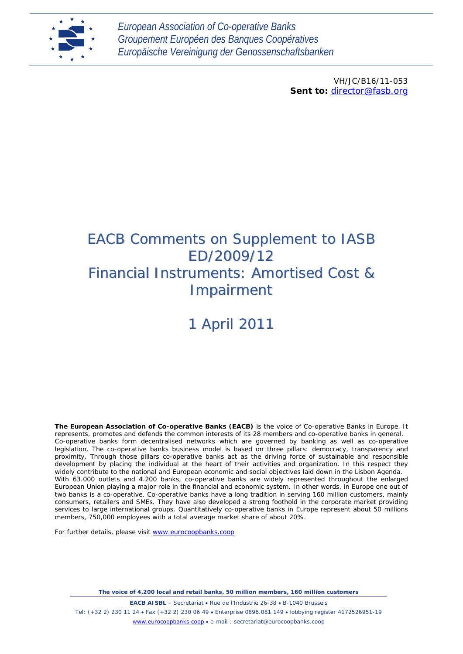

*European Association of Co-operative Banks Groupement Européen des Banques Coopératives Europäische Vereinigung der Genossenschaftsbanken*

> VH/JC/B16/11-053 *Sent to: [director@fasb.org](mailto:director@fasb.org)*

# EACB Comments on Supplement to IASB ED/2009/12 *Financial Instruments: Amortised Cost & Impairment*

# 1 April 2011

**The European Association of Co-operative Banks (EACB)** is the voice of Co-operative Banks in Europe. It represents, promotes and defends the common interests of its 28 members and co-operative banks in general. Co-operative banks form decentralised networks which are governed by banking as well as co-operative legislation. The co-operative banks business model is based on three pillars: democracy, transparency and proximity. Through those pillars co-operative banks act as the driving force of sustainable and responsible development by placing the individual at the heart of their activities and organization. In this respect they widely contribute to the national and European economic and social objectives laid down in the Lisbon Agenda. With 63.000 outlets and 4.200 banks, co-operative banks are widely represented throughout the enlarged European Union playing a major role in the financial and economic system. In other words, in Europe one out of two banks is a co-operative. Co-operative banks have a long tradition in serving 160 million customers, mainly consumers, retailers and SMEs. They have also developed a strong foothold in the corporate market providing services to large international groups. Quantitatively co-operative banks in Europe represent about 50 millions members, 750,000 employees with a total average market share of about 20%.

For further details, please visit [www.eurocoopbanks.coop](http://www.eurocoopbanks.coop/)

*The voice of 4.200 local and retail banks, 50 million members, 160 million customers* **EACB AISBL** – Secretariat • Rue de l'Industrie 26-38 • B-1040 Brussels Tel: (+32 2) 230 11 24 • Fax (+32 2) 230 06 49 • Enterprise 0896.081.149 • lobbying register 4172526951-19 [www.eurocoopbanks.coop](http://www.eurocoopbanks.coop/) • e-mail : secretariat@eurocoopbanks.coop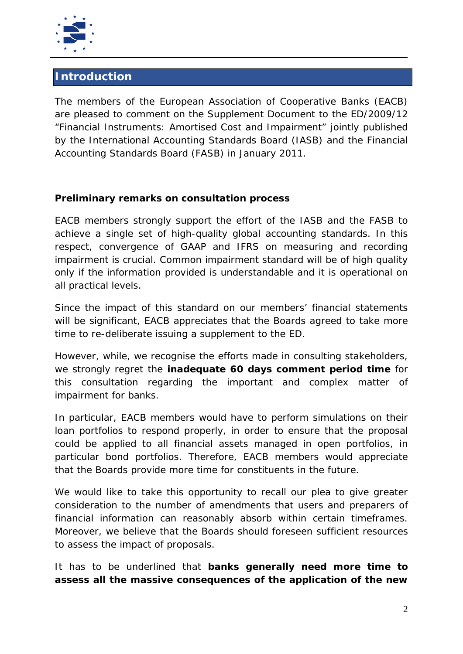

# **Introduction**

The members of the European Association of Cooperative Banks (EACB) are pleased to comment on the Supplement Document to the ED/2009/12 "Financial Instruments: Amortised Cost and Impairment" jointly published by the International Accounting Standards Board (IASB) and the Financial Accounting Standards Board (FASB) in January 2011.

# **Preliminary remarks on consultation process**

EACB members strongly support the effort of the IASB and the FASB to achieve a single set of high-quality global accounting standards. In this respect, convergence of GAAP and IFRS on measuring and recording impairment is crucial. Common impairment standard will be of high quality only if the information provided is understandable and it is operational on all practical levels.

Since the impact of this standard on our members' financial statements will be significant, EACB appreciates that the Boards agreed to take more time to re-deliberate issuing a supplement to the ED.

However, while, we recognise the efforts made in consulting stakeholders, we strongly regret the **inadequate 60 days comment period time** for this consultation regarding the important and complex matter of impairment for banks.

In particular, EACB members would have to perform simulations on their loan portfolios to respond properly, in order to ensure that the proposal could be applied to all financial assets managed in open portfolios, in particular bond portfolios. Therefore, EACB members would appreciate that the Boards provide more time for constituents in the future.

We would like to take this opportunity to recall our plea to give greater consideration to the number of amendments that users and preparers of financial information can reasonably absorb within certain timeframes. Moreover, we believe that the Boards should foreseen sufficient resources to assess the impact of proposals.

It has to be underlined that **banks generally need more time to assess all the massive consequences of the application of the new**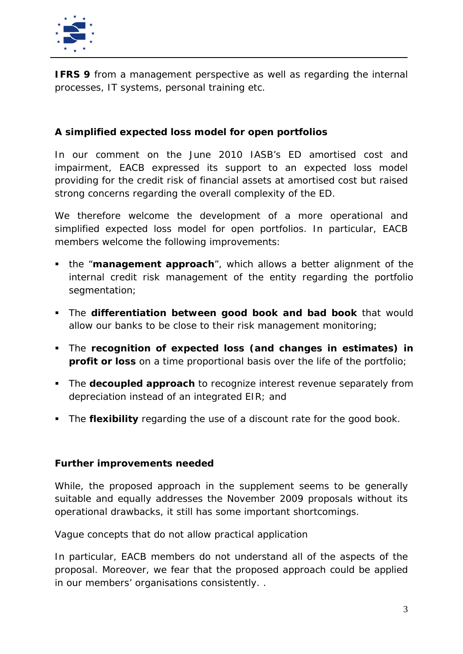

**IFRS 9** from a management perspective as well as regarding the internal processes, IT systems, personal training etc.

# **A simplified expected loss model for open portfolios**

In our comment on the June 2010 IASB's ED *amortised cost and impairment*, EACB expressed its support to an expected loss model providing for the credit risk of financial assets at amortised cost but raised strong concerns regarding the overall complexity of the ED.

We therefore welcome the development of a more operational and simplified expected loss model for open portfolios. In particular, EACB members welcome the following improvements:

- the "**management approach**", which allows a better alignment of the internal credit risk management of the entity regarding the portfolio segmentation;
- The **differentiation between good book and bad book** that would allow our banks to be close to their risk management monitoring;
- The **recognition of expected loss (and changes in estimates) in profit or loss** on a time proportional basis over the life of the portfolio;
- **The decoupled approach** to recognize interest revenue separately from depreciation instead of an integrated EIR; and
- The **flexibility** regarding the use of a discount rate for the good book.

#### **Further improvements needed**

While, the proposed approach in the supplement seems to be generally suitable and equally addresses the November 2009 proposals without its operational drawbacks, it still has some important shortcomings.

#### *Vague concepts that do not allow practical application*

In particular, EACB members do not understand all of the aspects of the proposal. Moreover, we fear that the proposed approach could be applied in our members' organisations consistently. .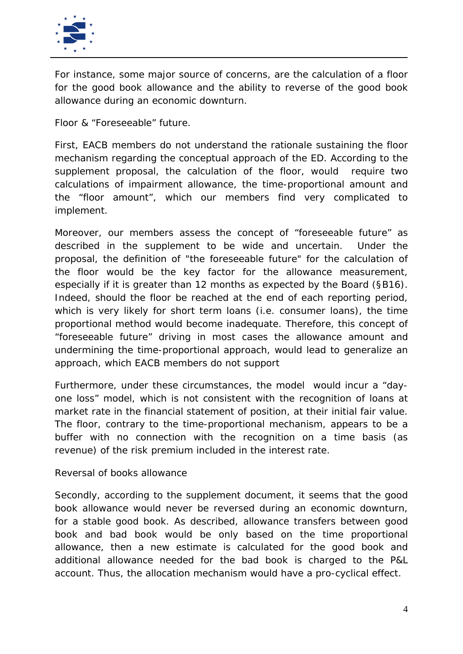

For instance, some major source of concerns, are the calculation of a floor for the good book allowance and the ability to reverse of the good book allowance during an economic downturn.

*Floor & "Foreseeable" future.*

First, EACB members do not understand the rationale sustaining the floor mechanism regarding the conceptual approach of the ED. According to the supplement proposal, the calculation of the floor, would require two calculations of impairment allowance, the time-proportional amount and the "floor amount", which our members find very complicated to implement.

Moreover, our members assess the concept of "foreseeable future" as described in the supplement to be wide and uncertain. Under the proposal, the definition of "the foreseeable future" for the calculation of the floor would be the key factor for the allowance measurement, especially if it is greater than 12 months as expected by the Board (§B16). Indeed, should the floor be reached at the end of each reporting period, which is very likely for short term loans (i.e. consumer loans), the time proportional method would become inadequate. Therefore, this concept of "foreseeable future" driving in most cases the allowance amount and undermining the time-proportional approach, would lead to generalize an approach, which EACB members do not support

Furthermore, under these circumstances, the model would incur a "dayone loss" model, which is not consistent with the recognition of loans at market rate in the financial statement of position, at their initial fair value. The floor, contrary to the time-proportional mechanism, appears to be a buffer with no connection with the recognition on a time basis (as revenue) of the risk premium included in the interest rate.

#### *Reversal of books allowance*

Secondly, according to the supplement document, it seems that the good book allowance would never be reversed during an economic downturn, for a stable good book. As described, allowance transfers between good book and bad book would be only based on the time proportional allowance, then a new estimate is calculated for the good book and additional allowance needed for the bad book is charged to the P&L account. Thus, the allocation mechanism would have a pro-cyclical effect.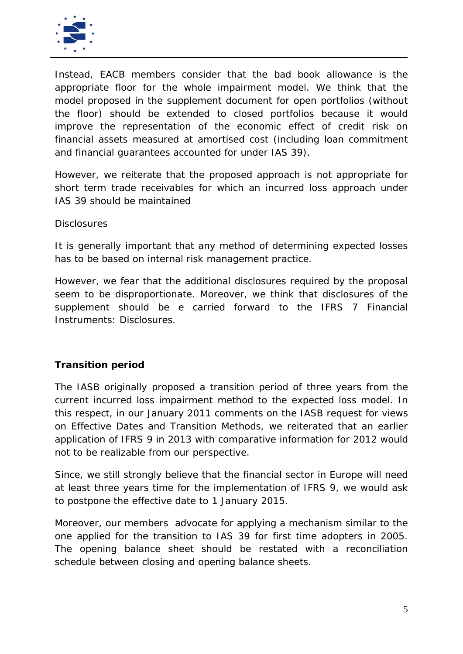

Instead, EACB members consider that the bad book allowance is the appropriate floor for the whole impairment model. We think that the model proposed in the supplement document for open portfolios (without the floor) should be extended to closed portfolios because it would improve the representation of the economic effect of credit risk on financial assets measured at amortised cost (including loan commitment and financial guarantees accounted for under IAS 39).

However, we reiterate that the proposed approach is not appropriate for short term trade receivables for which an incurred loss approach under IAS 39 should be maintained

#### *Disclosures*

It is generally important that any method of determining expected losses has to be based on internal risk management practice.

However, we fear that the additional disclosures required by the proposal seem to be disproportionate. Moreover, we think that disclosures of the supplement should be e carried forward to the IFRS 7 Financial Instruments: *Disclosures.*

#### **Transition period**

The IASB originally proposed a transition period of three years from the current incurred loss impairment method to the expected loss model. In this respect, in our January 2011 comments on the IASB request for views on Effective Dates and Transition Methods, we reiterated that an earlier application of IFRS 9 in 2013 with comparative information for 2012 would not to be realizable from our perspective.

Since, we still strongly believe that the financial sector in Europe will need at least three years time for the implementation of IFRS 9, we would ask to postpone the effective date to 1 January 2015.

Moreover, our members advocate for applying a mechanism similar to the one applied for the transition to IAS 39 for first time adopters in 2005. The opening balance sheet should be restated with a reconciliation schedule between closing and opening balance sheets.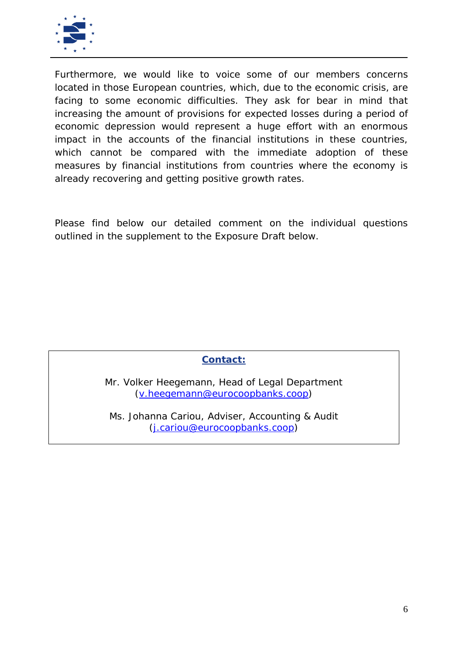

Furthermore, we would like to voice some of our members concerns located in those European countries, which, due to the economic crisis, are facing to some economic difficulties. They ask for bear in mind that increasing the amount of provisions for expected losses during a period of economic depression would represent a huge effort with an enormous impact in the accounts of the financial institutions in these countries, which cannot be compared with the immediate adoption of these measures by financial institutions from countries where the economy is already recovering and getting positive growth rates.

Please find below our detailed comment on the individual questions outlined in the supplement to the Exposure Draft below.

# **Contact:**

Mr. Volker Heegemann, Head of Legal Department [\(v.heegemann@eurocoopbanks.coop\)](mailto:v.heegemann@eurocoopbanks.coop)

Ms. Johanna Cariou, Adviser, Accounting & Audit [\(j.cariou@eurocoopbanks.coop\)](mailto:j.cariou@eurocoopbanks.coop)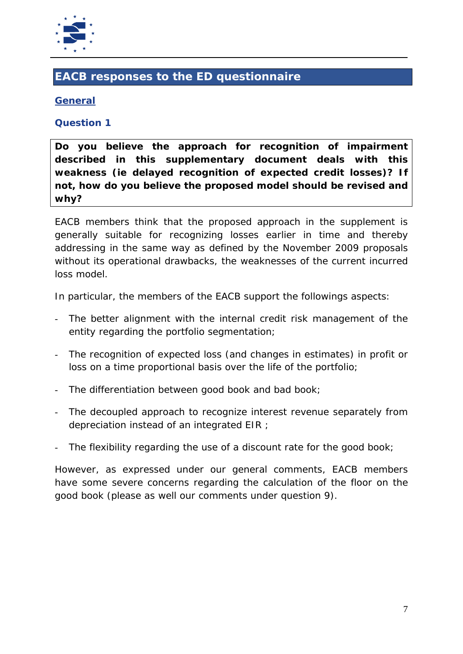

# **EACB responses to the ED questionnaire**

# **General**

#### **Question 1**

**Do you believe the approach for recognition of impairment described in this supplementary document deals with this weakness (ie delayed recognition of expected credit losses)? If not, how do you believe the proposed model should be revised and why?**

EACB members think that the proposed approach in the supplement is generally suitable for recognizing losses earlier in time and thereby addressing in the same way as defined by the November 2009 proposals without its operational drawbacks, the weaknesses of the current incurred loss model.

In particular, the members of the EACB support the followings aspects:

- The better alignment with the internal credit risk management of the entity regarding the portfolio segmentation;
- The recognition of expected loss (and changes in estimates) in profit or loss on a time proportional basis over the life of the portfolio;
- The differentiation between good book and bad book;
- The decoupled approach to recognize interest revenue separately from depreciation instead of an integrated EIR ;
- The flexibility regarding the use of a discount rate for the good book;

However, as expressed under our general comments, EACB members have some severe concerns regarding the calculation of the floor on the good book (please as well our comments under question 9).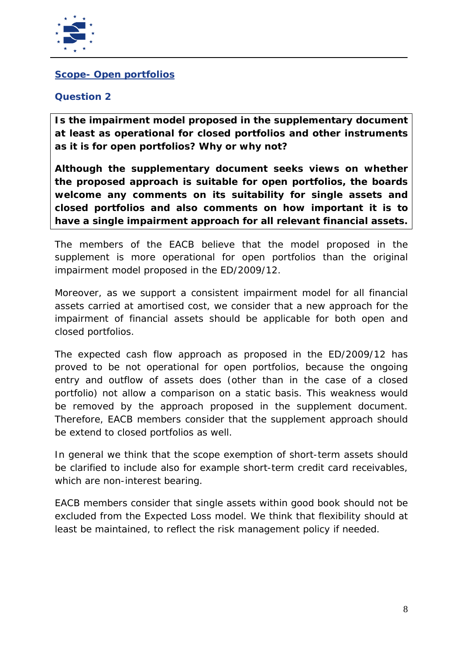

### **Scope- Open portfolios**

### **Question 2**

**Is the impairment model proposed in the supplementary document at least as operational for closed portfolios and other instruments as it is for open portfolios? Why or why not?**

**Although the supplementary document seeks views on whether the proposed approach is suitable for open portfolios, the boards welcome any comments on its suitability for single assets and closed portfolios and also comments on how important it is to have a single impairment approach for all relevant financial assets.**

The members of the EACB believe that the model proposed in the supplement is more operational for open portfolios than the original impairment model proposed in the ED/2009/12.

Moreover, as we support a consistent impairment model for all financial assets carried at amortised cost, we consider that a new approach for the impairment of financial assets should be applicable for both open and closed portfolios.

The expected cash flow approach as proposed in the ED/2009/12 has proved to be not operational for open portfolios, because the ongoing entry and outflow of assets does (other than in the case of a closed portfolio) not allow a comparison on a static basis. This weakness would be removed by the approach proposed in the supplement document. Therefore, EACB members consider that the supplement approach should be extend to closed portfolios as well.

In general we think that the scope exemption of short-term assets should be clarified to include also for example short-term credit card receivables, which are non-interest bearing.

EACB members consider that single assets within good book should not be excluded from the Expected Loss model. We think that flexibility should at least be maintained, to reflect the risk management policy if needed.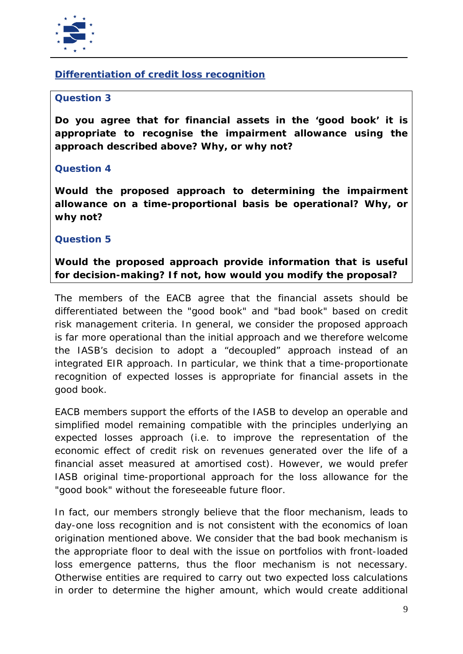

# **Differentiation of credit loss recognition**

#### **Question 3**

**Do you agree that for financial assets in the 'good book' it is appropriate to recognise the impairment allowance using the approach described above? Why, or why not?**

#### **Question 4**

**Would the proposed approach to determining the impairment allowance on a time-proportional basis be operational? Why, or why not?**

#### **Question 5**

**Would the proposed approach provide information that is useful for decision-making? If not, how would you modify the proposal?**

The members of the EACB agree that the financial assets should be differentiated between the "good book" and "bad book" based on credit risk management criteria. In general, we consider the proposed approach is far more operational than the initial approach and we therefore welcome the IASB's decision to adopt a "decoupled" approach instead of an integrated EIR approach. In particular, we think that a time-proportionate recognition of expected losses is appropriate for financial assets in the good book.

EACB members support the efforts of the IASB to develop an operable and simplified model remaining compatible with the principles underlying an expected losses approach (i.e. to improve the representation of the economic effect of credit risk on revenues generated over the life of a financial asset measured at amortised cost). However, we would prefer IASB original time-proportional approach for the loss allowance for the "good book" without the foreseeable future floor.

In fact, our members strongly believe that the floor mechanism, leads to day-one loss recognition and is not consistent with the economics of loan origination mentioned above. We consider that the bad book mechanism is the appropriate floor to deal with the issue on portfolios with front-loaded loss emergence patterns, thus the floor mechanism is not necessary. Otherwise entities are required to carry out two expected loss calculations in order to determine the higher amount, which would create additional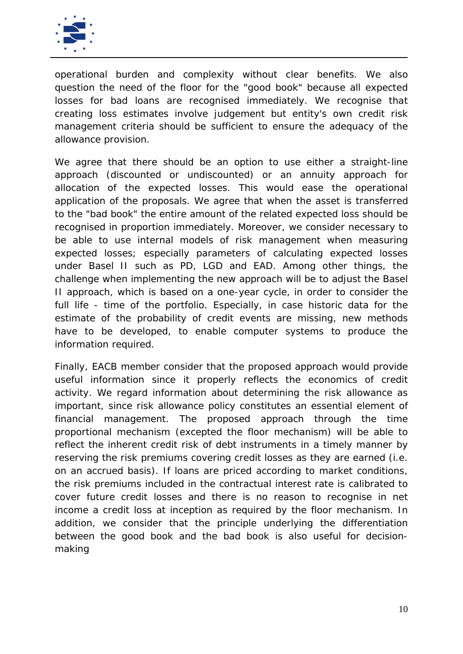

operational burden and complexity without clear benefits. We also question the need of the floor for the "good book" because all expected losses for bad loans are recognised immediately. We recognise that creating loss estimates involve judgement but entity's own credit risk management criteria should be sufficient to ensure the adequacy of the allowance provision.

We agree that there should be an option to use either a straight-line approach (discounted or undiscounted) or an annuity approach for allocation of the expected losses. This would ease the operational application of the proposals. We agree that when the asset is transferred to the "bad book" the entire amount of the related expected loss should be recognised in proportion immediately. Moreover, we consider necessary to be able to use internal models of risk management when measuring expected losses; especially parameters of calculating expected losses under Basel II such as PD, LGD and EAD. Among other things, the challenge when implementing the new approach will be to adjust the Basel II approach, which is based on a one-year cycle, in order to consider the full life - time of the portfolio. Especially, in case historic data for the estimate of the probability of credit events are missing, new methods have to be developed, to enable computer systems to produce the information required.

Finally, EACB member consider that the proposed approach would provide useful information since it properly reflects the economics of credit activity. We regard information about determining the risk allowance as important, since risk allowance policy constitutes an essential element of financial management. The proposed approach through the time proportional mechanism (excepted the floor mechanism) will be able to reflect the inherent credit risk of debt instruments in a timely manner by reserving the risk premiums covering credit losses as they are earned (i.e. on an accrued basis). If loans are priced according to market conditions, the risk premiums included in the contractual interest rate is calibrated to cover future credit losses and there is no reason to recognise in net income a credit loss at inception as required by the floor mechanism. In addition, we consider that the principle underlying the differentiation between the good book and the bad book is also useful for decisionmaking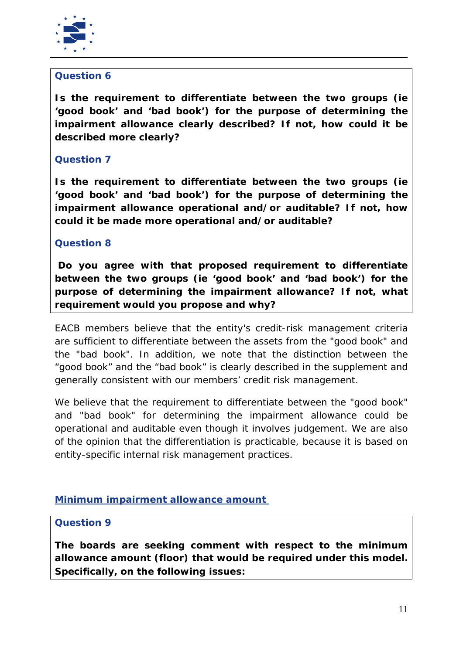

# **Question 6**

**Is the requirement to differentiate between the two groups (ie 'good book' and 'bad book') for the purpose of determining the impairment allowance clearly described? If not, how could it be described more clearly?**

# **Question 7**

**Is the requirement to differentiate between the two groups (ie 'good book' and 'bad book') for the purpose of determining the impairment allowance operational and/or auditable? If not, how could it be made more operational and/or auditable?**

# **Question 8**

**Do you agree with that proposed requirement to differentiate between the two groups (ie 'good book' and 'bad book') for the purpose of determining the impairment allowance? If not, what requirement would you propose and why?**

EACB members believe that the entity's credit-risk management criteria are sufficient to differentiate between the assets from the "good book" and the "bad book". In addition, we note that the distinction between the "good book" and the "bad book" is clearly described in the supplement and generally consistent with our members' credit risk management.

We believe that the requirement to differentiate between the "good book" and "bad book" for determining the impairment allowance could be operational and auditable even though it involves judgement. We are also of the opinion that the differentiation is practicable, because it is based on entity-specific internal risk management practices.

# **Minimum impairment allowance amount**

#### **Question 9**

**The boards are seeking comment with respect to the minimum allowance amount (floor) that would be required under this model. Specifically, on the following issues:**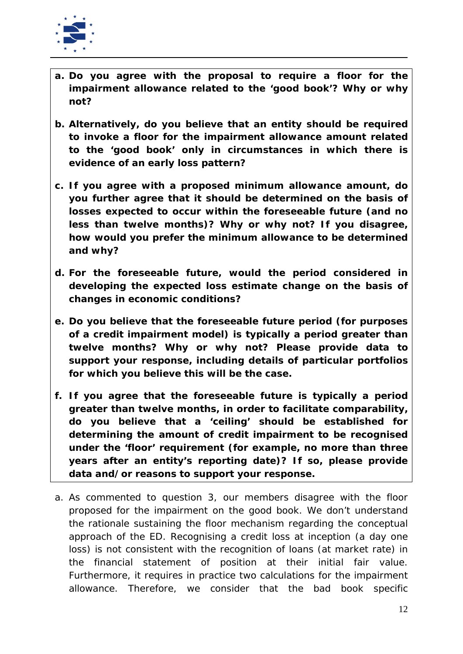

- **a. Do you agree with the proposal to require a floor for the impairment allowance related to the 'good book'? Why or why not?**
- **b. Alternatively, do you believe that an entity should be required to invoke a floor for the impairment allowance amount related to the 'good book' only in circumstances in which there is evidence of an early loss pattern?**
- **c. If you agree with a proposed minimum allowance amount, do you further agree that it should be determined on the basis of losses expected to occur within the foreseeable future (and no less than twelve months)? Why or why not? If you disagree, how would you prefer the minimum allowance to be determined and why?**
- **d. For the foreseeable future, would the period considered in developing the expected loss estimate change on the basis of changes in economic conditions?**
- **e. Do you believe that the foreseeable future period (for purposes of a credit impairment model) is typically a period greater than twelve months? Why or why not? Please provide data to support your response, including details of particular portfolios for which you believe this will be the case.**
- **f. If you agree that the foreseeable future is typically a period greater than twelve months, in order to facilitate comparability, do you believe that a 'ceiling' should be established for determining the amount of credit impairment to be recognised under the 'floor' requirement (for example, no more than three years after an entity's reporting date)? If so, please provide data and/or reasons to support your response.**
- a. As commented to question 3, our members disagree with the floor proposed for the impairment on the good book. We don't understand the rationale sustaining the floor mechanism regarding the conceptual approach of the ED. Recognising a credit loss at inception (a day one loss) is not consistent with the recognition of loans (at market rate) in the financial statement of position at their initial fair value. Furthermore, it requires in practice two calculations for the impairment allowance. Therefore, we consider that the bad book specific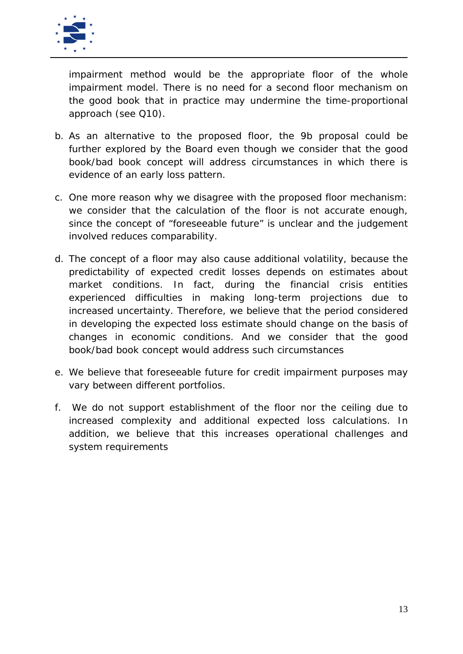

impairment method would be the appropriate floor of the whole impairment model. There is no need for a second floor mechanism on the good book that in practice may undermine the time-proportional approach (see Q10).

- b. As an alternative to the proposed floor, the 9b proposal could be further explored by the Board even though we consider that the good book/bad book concept will address circumstances in which there is evidence of an early loss pattern.
- c. One more reason why we disagree with the proposed floor mechanism: we consider that the calculation of the floor is not accurate enough, since the concept of "foreseeable future" is unclear and the judgement involved reduces comparability.
- d. The concept of a floor may also cause additional volatility, because the predictability of expected credit losses depends on estimates about market conditions. In fact, during the financial crisis entities experienced difficulties in making long-term projections due to increased uncertainty. Therefore, we believe that the period considered in developing the expected loss estimate should change on the basis of changes in economic conditions. And we consider that the good book/bad book concept would address such circumstances
- e. We believe that foreseeable future for credit impairment purposes may vary between different portfolios.
- f. We do not support establishment of the floor nor the ceiling due to increased complexity and additional expected loss calculations. In addition, we believe that this increases operational challenges and system requirements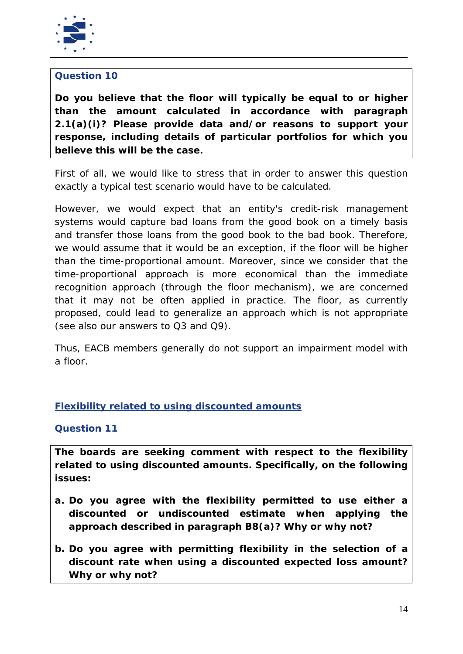

# **Question 10**

**Do you believe that the floor will typically be equal to or higher than the amount calculated in accordance with paragraph 2.1(a)(i)? Please provide data and/or reasons to support your response, including details of particular portfolios for which you believe this will be the case.**

First of all, we would like to stress that in order to answer this question exactly a typical test scenario would have to be calculated.

However, we would expect that an entity's credit-risk management systems would capture bad loans from the good book on a timely basis and transfer those loans from the good book to the bad book. Therefore, we would assume that it would be an exception, if the floor will be higher than the time-proportional amount. Moreover, since we consider that the time-proportional approach is more economical than the immediate recognition approach (through the floor mechanism), we are concerned that it may not be often applied in practice. The floor, as currently proposed, could lead to generalize an approach which is not appropriate (see also our answers to Q3 and Q9).

Thus, EACB members generally do not support an impairment model with a floor.

# **Flexibility related to using discounted amounts**

**Question 11**

**The boards are seeking comment with respect to the flexibility related to using discounted amounts. Specifically, on the following issues:**

- **a. Do you agree with the flexibility permitted to use either a discounted or undiscounted estimate when applying the approach described in paragraph B8(a)? Why or why not?**
- **b. Do you agree with permitting flexibility in the selection of a discount rate when using a discounted expected loss amount? Why or why not?**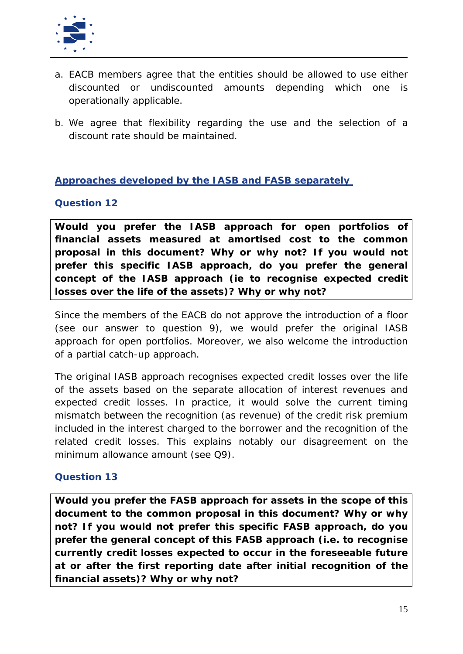

- a. EACB members agree that the entities should be allowed to use either discounted or undiscounted amounts depending which one is operationally applicable.
- b. We agree that flexibility regarding the use and the selection of a discount rate should be maintained.

# **Approaches developed by the IASB and FASB separately**

#### **Question 12**

**Would you prefer the IASB approach for open portfolios of financial assets measured at amortised cost to the common proposal in this document? Why or why not? If you would not prefer this specific IASB approach, do you prefer the general concept of the IASB approach (ie to recognise expected credit losses over the life of the assets)? Why or why not?**

Since the members of the EACB do not approve the introduction of a floor (see our answer to question 9), we would prefer the original IASB approach for open portfolios. Moreover, we also welcome the introduction of a partial catch-up approach.

The original IASB approach recognises expected credit losses over the life of the assets based on the separate allocation of interest revenues and expected credit losses. In practice, it would solve the current timing mismatch between the recognition (as revenue) of the credit risk premium included in the interest charged to the borrower and the recognition of the related credit losses. This explains notably our disagreement on the minimum allowance amount (see Q9).

#### **Question 13**

**Would you prefer the FASB approach for assets in the scope of this document to the common proposal in this document? Why or why not? If you would not prefer this specific FASB approach, do you prefer the general concept of this FASB approach (i.e. to recognise currently credit losses expected to occur in the foreseeable future at or after the first reporting date after initial recognition of the financial assets)? Why or why not?**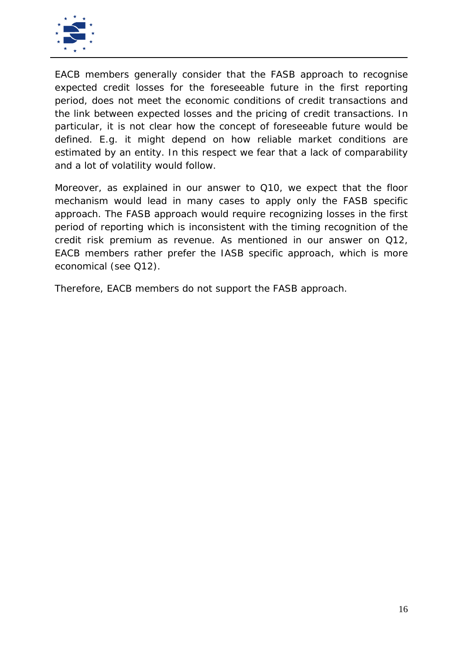

EACB members generally consider that the FASB approach to recognise expected credit losses for the foreseeable future in the first reporting period, does not meet the economic conditions of credit transactions and the link between expected losses and the pricing of credit transactions. In particular, it is not clear how the concept of foreseeable future would be defined. E.g. it might depend on how reliable market conditions are estimated by an entity. In this respect we fear that a lack of comparability and a lot of volatility would follow.

Moreover, as explained in our answer to Q10, we expect that the floor mechanism would lead in many cases to apply only the FASB specific approach. The FASB approach would require recognizing losses in the first period of reporting which is inconsistent with the timing recognition of the credit risk premium as revenue. As mentioned in our answer on Q12, EACB members rather prefer the IASB specific approach, which is more economical (see Q12).

Therefore, EACB members do not support the FASB approach.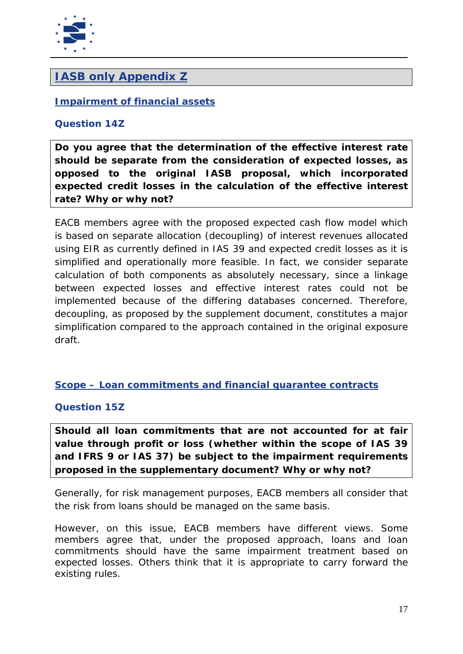

# *IASB only Appendix Z*

# **Impairment of financial assets**

#### **Question 14Z**

**Do you agree that the determination of the effective interest rate should be separate from the consideration of expected losses, as opposed to the original IASB proposal, which incorporated expected credit losses in the calculation of the effective interest rate? Why or why not?**

EACB members agree with the proposed expected cash flow model which is based on separate allocation (decoupling) of interest revenues allocated using EIR as currently defined in IAS 39 and expected credit losses as it is simplified and operationally more feasible. In fact, we consider separate calculation of both components as absolutely necessary, since a linkage between expected losses and effective interest rates could not be implemented because of the differing databases concerned. Therefore, decoupling, as proposed by the supplement document, constitutes a major simplification compared to the approach contained in the original exposure draft.

# **Scope – Loan commitments and financial guarantee contracts**

#### **Question 15Z**

**Should all loan commitments that are not accounted for at fair value through profit or loss (whether within the scope of IAS 39 and IFRS 9 or IAS 37) be subject to the impairment requirements proposed in the supplementary document? Why or why not?**

Generally, for risk management purposes, EACB members all consider that the risk from loans should be managed on the same basis.

However, on this issue, EACB members have different views. Some members agree that, under the proposed approach, loans and loan commitments should have the same impairment treatment based on expected losses. Others think that it is appropriate to carry forward the existing rules.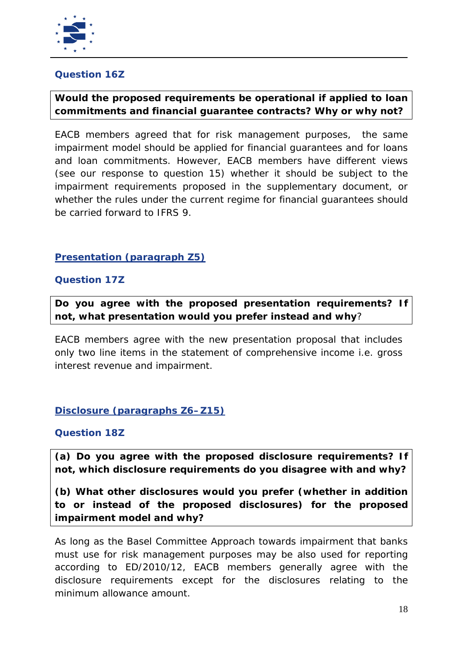

# **Question 16Z**

# **Would the proposed requirements be operational if applied to loan commitments and financial guarantee contracts? Why or why not?**

EACB members agreed that for risk management purposes, the same impairment model should be applied for financial guarantees and for loans and loan commitments. However, EACB members have different views (see our response to question 15) whether it should be subject to the impairment requirements proposed in the supplementary document, or whether the rules under the current regime for financial guarantees should be carried forward to IFRS 9.

# **Presentation (paragraph Z5)**

#### **Question 17Z**

**Do you agree with the proposed presentation requirements? If not, what presentation would you prefer instead and why**?

EACB members agree with the new presentation proposal that includes only two line items in the statement of comprehensive income i.e. gross interest revenue and impairment.

#### **Disclosure (paragraphs Z6–Z15)**

#### **Question 18Z**

**(a) Do you agree with the proposed disclosure requirements? If not, which disclosure requirements do you disagree with and why?**

**(b) What other disclosures would you prefer (whether in addition to or instead of the proposed disclosures) for the proposed impairment model and why?**

As long as the Basel Committee Approach towards impairment that banks must use for risk management purposes may be also used for reporting according to ED/2010/12, EACB members generally agree with the disclosure requirements except for the disclosures relating to the minimum allowance amount.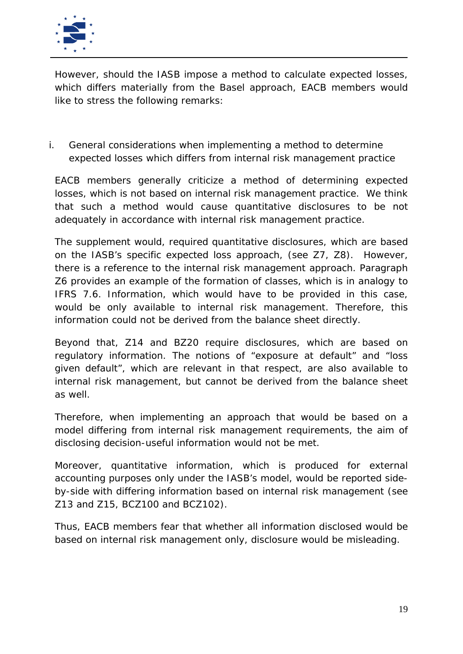

However, should the IASB impose a method to calculate expected losses, which differs materially from the Basel approach, EACB members would like to stress the following remarks:

i. General considerations when implementing a method to determine expected losses which differs from internal risk management practice

EACB members generally criticize a method of determining expected losses, which is not based on internal risk management practice. We think that such a method would cause quantitative disclosures to be not adequately in accordance with internal risk management practice.

The supplement would, required quantitative disclosures, which are based on the IASB's specific expected loss approach, (see Z7, Z8). However, there is a reference to the internal risk management approach. Paragraph Z6 provides an example of the formation of classes, which is in analogy to IFRS 7.6. Information, which would have to be provided in this case, would be only available to internal risk management. Therefore, this information could not be derived from the balance sheet directly.

Beyond that, Z14 and BZ20 require disclosures, which are based on regulatory information. The notions of "exposure at default" and "loss given default", which are relevant in that respect, are also available to internal risk management, but cannot be derived from the balance sheet as well.

Therefore, when implementing an approach that would be based on a model differing from internal risk management requirements, the aim of disclosing decision-useful information would not be met.

Moreover, quantitative information, which is produced for external accounting purposes only under the IASB's model, would be reported sideby-side with differing information based on internal risk management (see Z13 and Z15, BCZ100 and BCZ102).

Thus, EACB members fear that whether all information disclosed would be based on internal risk management only, disclosure would be misleading.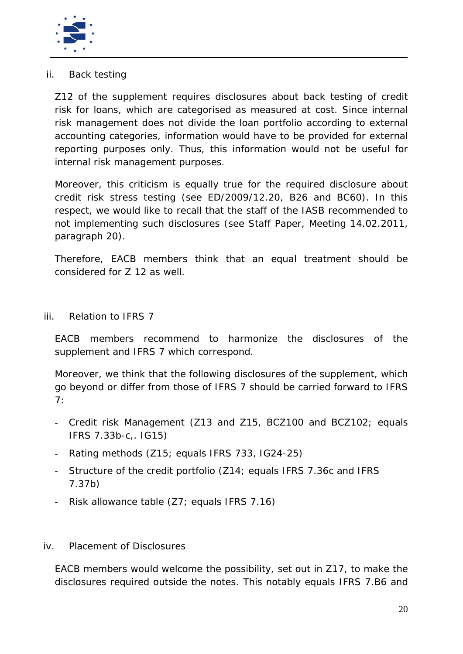

# ii. Back testing

Z12 of the supplement requires disclosures about back testing of credit risk for loans, which are categorised as measured at cost. Since internal risk management does not divide the loan portfolio according to external accounting categories, information would have to be provided for external reporting purposes only. Thus, this information would not be useful for internal risk management purposes.

Moreover, this criticism is equally true for the required disclosure about credit risk stress testing (see ED/2009/12.20, B26 and BC60). In this respect, we would like to recall that the staff of the IASB recommended to not implementing such disclosures (see Staff Paper, Meeting 14.02.2011, paragraph 20).

Therefore, EACB members think that an equal treatment should be considered for Z 12 as well.

iii. Relation to IFRS 7

EACB members recommend to harmonize the disclosures of the supplement and IFRS 7 which correspond.

Moreover, we think that the following disclosures of the supplement, which go beyond or differ from those of IFRS 7 should be carried forward to IFRS 7:

- Credit risk Management (Z13 and Z15, BCZ100 and BCZ102; equals IFRS 7.33b-c,. IG15)
- Rating methods (Z15; equals IFRS 733, IG24-25)
- Structure of the credit portfolio (Z14; equals IFRS 7.36c and IFRS 7.37b)
- Risk allowance table (Z7; equals IFRS 7.16)

#### iv. Placement of Disclosures

EACB members would welcome the possibility, set out in Z17, to make the disclosures required outside the notes. This notably equals IFRS 7.B6 and